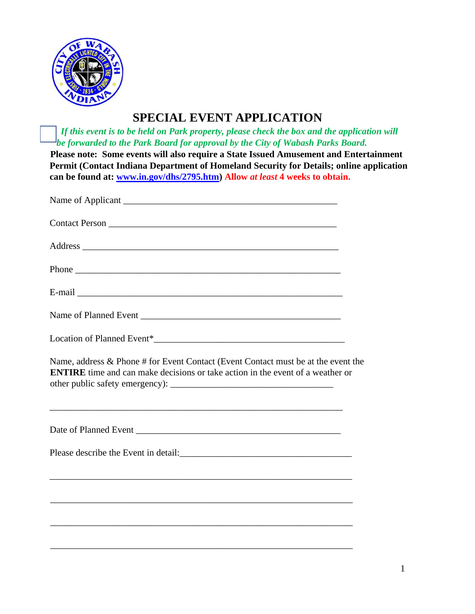

# **SPECIAL EVENT APPLICATION**

 *If this event is to be held on Park property, please check the box and the application will be forwarded to the Park Board for approval by the City of Wabash Parks Board.*

**Please note: Some events will also require a State Issued Amusement and Entertainment Permit (Contact Indiana Department of Homeland Security for Details; online application can be found at: [www.in.gov/dhs/2795.htm\)](http://www.in.gov/dhs/2795.htm) Allow** *at least* **4 weeks to obtain.** 

| Name, address & Phone # for Event Contact (Event Contact must be at the event the<br><b>ENTIRE</b> time and can make decisions or take action in the event of a weather or |  |
|----------------------------------------------------------------------------------------------------------------------------------------------------------------------------|--|
|                                                                                                                                                                            |  |
|                                                                                                                                                                            |  |
|                                                                                                                                                                            |  |
|                                                                                                                                                                            |  |
|                                                                                                                                                                            |  |

\_\_\_\_\_\_\_\_\_\_\_\_\_\_\_\_\_\_\_\_\_\_\_\_\_\_\_\_\_\_\_\_\_\_\_\_\_\_\_\_\_\_\_\_\_\_\_\_\_\_\_\_\_\_\_\_\_\_\_\_\_\_\_\_\_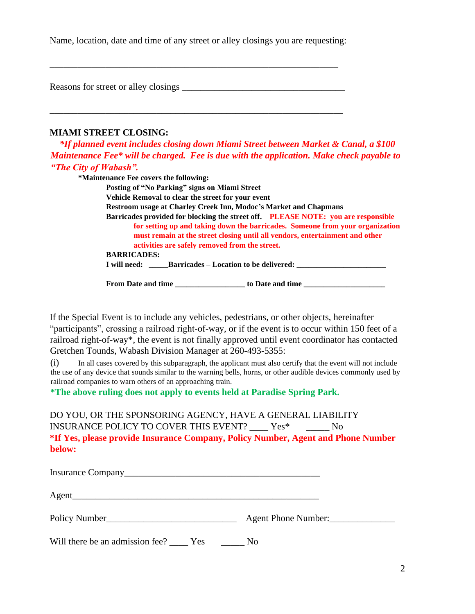Name, location, date and time of any street or alley closings you are requesting:

Reasons for street or alley closings

\_\_\_\_\_\_\_\_\_\_\_\_\_\_\_\_\_\_\_\_\_\_\_\_\_\_\_\_\_\_\_\_\_\_\_\_\_\_\_\_\_\_\_\_\_\_\_\_\_\_\_\_\_\_\_\_\_\_\_\_\_\_\_

\_\_\_\_\_\_\_\_\_\_\_\_\_\_\_\_\_\_\_\_\_\_\_\_\_\_\_\_\_\_\_\_\_\_\_\_\_\_\_\_\_\_\_\_\_\_\_\_\_\_\_\_\_\_\_\_\_\_\_\_\_\_

#### **MIAMI STREET CLOSING:**

 *\*If planned event includes closing down Miami Street between Market & Canal, a \$100 Maintenance Fee\* will be charged. Fee is due with the application. Make check payable to "The City of Wabash".*

**\*Maintenance Fee covers the following: Posting of "No Parking" signs on Miami Street Vehicle Removal to clear the street for your event Restroom usage at Charley Creek Inn, Modoc's Market and Chapmans Barricades provided for blocking the street off. PLEASE NOTE: you are responsible for setting up and taking down the barricades. Someone from your organization must remain at the street closing until all vendors, entertainment and other activities are safely removed from the street. BARRICADES: I will need: \_\_\_\_\_Barricades – Location to be delivered: \_\_\_\_\_\_\_\_\_\_\_\_\_\_\_\_\_\_\_\_\_\_\_**

**From Date and time \_\_\_\_\_\_\_\_\_\_\_\_\_\_\_\_\_\_ to Date and time \_\_\_\_\_\_\_\_\_\_\_\_\_\_\_\_\_\_\_\_\_**

If the Special Event is to include any vehicles, pedestrians, or other objects, hereinafter "participants", crossing a railroad right-of-way, or if the event is to occur within 150 feet of a railroad right-of-way\*, the event is not finally approved until event coordinator has contacted Gretchen Tounds, Wabash Division Manager at 260-493-5355:

(i) In all cases covered by this subparagraph, the applicant must also certify that the event will not include the use of any device that sounds similar to the warning bells, horns, or other audible devices commonly used by railroad companies to warn others of an approaching train.

**\*The above ruling does not apply to events held at Paradise Spring Park.**

DO YOU, OR THE SPONSORING AGENCY, HAVE A GENERAL LIABILITY INSURANCE POLICY TO COVER THIS EVENT? Yes\* No **\*If Yes, please provide Insurance Company, Policy Number, Agent and Phone Number below:**

| Agent_        |                     |
|---------------|---------------------|
| Policy Number | Agent Phone Number: |

Will there be an admission fee? \_\_\_\_\_ Yes \_\_\_\_\_\_ No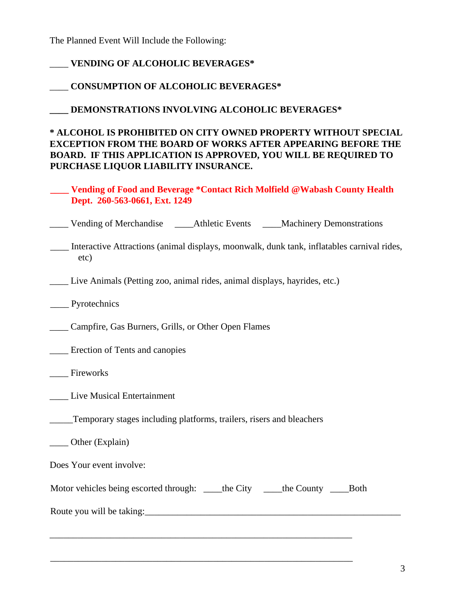The Planned Event Will Include the Following:

## \_\_\_\_ **VENDING OF ALCOHOLIC BEVERAGES\***

### \_\_\_\_ **CONSUMPTION OF ALCOHOLIC BEVERAGES\***

**\_\_\_\_ DEMONSTRATIONS INVOLVING ALCOHOLIC BEVERAGES\*** 

### **\* ALCOHOL IS PROHIBITED ON CITY OWNED PROPERTY WITHOUT SPECIAL EXCEPTION FROM THE BOARD OF WORKS AFTER APPEARING BEFORE THE BOARD. IF THIS APPLICATION IS APPROVED, YOU WILL BE REQUIRED TO PURCHASE LIQUOR LIABILITY INSURANCE.**

**\_\_\_\_ Vending of Food and Beverage \*Contact Rich Molfield @Wabash County Health Dept. 260-563-0661, Ext. 1249**

\_\_\_\_ Vending of Merchandise \_\_\_\_Athletic Events \_\_\_\_Machinery Demonstrations

\_\_\_\_ Interactive Attractions (animal displays, moonwalk, dunk tank, inflatables carnival rides, etc)

\_\_\_\_ Live Animals (Petting zoo, animal rides, animal displays, hayrides, etc.)

- \_\_\_\_ Pyrotechnics
- \_\_\_\_ Campfire, Gas Burners, Grills, or Other Open Flames
- Erection of Tents and canopies
- \_\_\_\_ Fireworks
- \_\_\_\_ Live Musical Entertainment
- \_\_\_\_\_Temporary stages including platforms, trailers, risers and bleachers
- \_\_\_\_ Other (Explain)

Does Your event involve:

Motor vehicles being escorted through: \_\_\_\_\_the City \_\_\_\_\_the County \_\_\_\_\_\_\_\_\_Both

\_\_\_\_\_\_\_\_\_\_\_\_\_\_\_\_\_\_\_\_\_\_\_\_\_\_\_\_\_\_\_\_\_\_\_\_\_\_\_\_\_\_\_\_\_\_\_\_\_\_\_\_\_\_\_\_\_\_\_\_\_\_\_\_\_

\_\_\_\_\_\_\_\_\_\_\_\_\_\_\_\_\_\_\_\_\_\_\_\_\_\_\_\_\_\_\_\_\_\_\_\_\_\_\_\_\_\_\_\_\_\_\_\_\_\_\_\_\_\_\_\_\_\_\_\_\_\_\_\_\_

Route you will be taking: